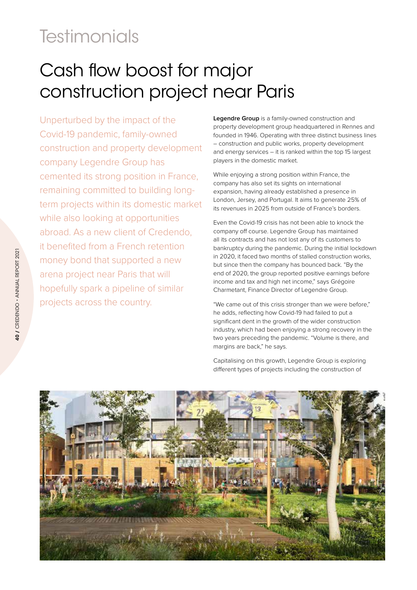## **Testimonials**

## Cash flow boost for major construction project near Paris

Unperturbed by the impact of the Covid-19 pandemic, family-owned construction and property development company Legendre Group has cemented its strong position in France, remaining committed to building longterm projects within its domestic market while also looking at opportunities abroad. As a new client of Credendo, it benefited from a French retention money bond that supported a new arena project near Paris that will hopefully spark a pipeline of similar projects across the country.

**Legendre Group** is a family-owned construction and property development group headquartered in Rennes and founded in 1946. Operating with three distinct business lines – construction and public works, property development and energy services – it is ranked within the top 15 largest players in the domestic market.

While enjoying a strong position within France, the company has also set its sights on international expansion, having already established a presence in London, Jersey, and Portugal. It aims to generate 25% of its revenues in 2025 from outside of France's borders.

Even the Covid-19 crisis has not been able to knock the company off course. Legendre Group has maintained all its contracts and has not lost any of its customers to bankruptcy during the pandemic. During the initial lockdown in 2020, it faced two months of stalled construction works, but since then the company has bounced back. "By the end of 2020, the group reported positive earnings before income and tax and high net income," says Grégoire Charmetant, Finance Director of Legendre Group.

"We came out of this crisis stronger than we were before," he adds, reflecting how Covid-19 had failed to put a significant dent in the growth of the wider construction industry, which had been enjoying a strong recovery in the two years preceding the pandemic. "Volume is there, and margins are back," he says.

Capitalising on this growth, Legendre Group is exploring different types of projects including the construction of